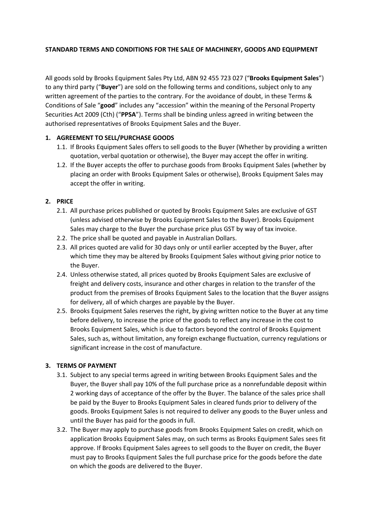#### **STANDARD TERMS AND CONDITIONS FOR THE SALE OF MACHINERY, GOODS AND EQUIPMENT**

All goods sold by Brooks Equipment Sales Pty Ltd, ABN 92 455 723 027 ("**Brooks Equipment Sales**") to any third party ("**Buyer**") are sold on the following terms and conditions, subject only to any written agreement of the parties to the contrary. For the avoidance of doubt, in these Terms & Conditions of Sale "**good**" includes any "accession" within the meaning of the Personal Property Securities Act 2009 (Cth) ("**PPSA**"). Terms shall be binding unless agreed in writing between the authorised representatives of Brooks Equipment Sales and the Buyer.

#### **1. AGREEMENT TO SELL/PURCHASE GOODS**

- 1.1. If Brooks Equipment Sales offers to sell goods to the Buyer (Whether by providing a written quotation, verbal quotation or otherwise), the Buyer may accept the offer in writing.
- 1.2. If the Buyer accepts the offer to purchase goods from Brooks Equipment Sales (whether by placing an order with Brooks Equipment Sales or otherwise), Brooks Equipment Sales may accept the offer in writing.

#### **2. PRICE**

- 2.1. All purchase prices published or quoted by Brooks Equipment Sales are exclusive of GST (unless advised otherwise by Brooks Equipment Sales to the Buyer). Brooks Equipment Sales may charge to the Buyer the purchase price plus GST by way of tax invoice.
- 2.2. The price shall be quoted and payable in Australian Dollars.
- 2.3. All prices quoted are valid for 30 days only or until earlier accepted by the Buyer, after which time they may be altered by Brooks Equipment Sales without giving prior notice to the Buyer.
- 2.4. Unless otherwise stated, all prices quoted by Brooks Equipment Sales are exclusive of freight and delivery costs, insurance and other charges in relation to the transfer of the product from the premises of Brooks Equipment Sales to the location that the Buyer assigns for delivery, all of which charges are payable by the Buyer.
- 2.5. Brooks Equipment Sales reserves the right, by giving written notice to the Buyer at any time before delivery, to increase the price of the goods to reflect any increase in the cost to Brooks Equipment Sales, which is due to factors beyond the control of Brooks Equipment Sales, such as, without limitation, any foreign exchange fluctuation, currency regulations or significant increase in the cost of manufacture.

#### **3. TERMS OF PAYMENT**

- 3.1. Subject to any special terms agreed in writing between Brooks Equipment Sales and the Buyer, the Buyer shall pay 10% of the full purchase price as a nonrefundable deposit within 2 working days of acceptance of the offer by the Buyer. The balance of the sales price shall be paid by the Buyer to Brooks Equipment Sales in cleared funds prior to delivery of the goods. Brooks Equipment Sales is not required to deliver any goods to the Buyer unless and until the Buyer has paid for the goods in full.
- 3.2. The Buyer may apply to purchase goods from Brooks Equipment Sales on credit, which on application Brooks Equipment Sales may, on such terms as Brooks Equipment Sales sees fit approve. If Brooks Equipment Sales agrees to sell goods to the Buyer on credit, the Buyer must pay to Brooks Equipment Sales the full purchase price for the goods before the date on which the goods are delivered to the Buyer.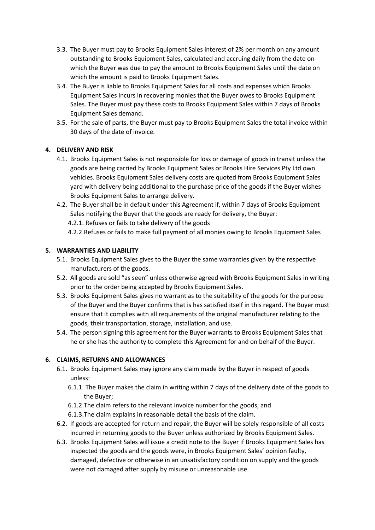- 3.3. The Buyer must pay to Brooks Equipment Sales interest of 2% per month on any amount outstanding to Brooks Equipment Sales, calculated and accruing daily from the date on which the Buyer was due to pay the amount to Brooks Equipment Sales until the date on which the amount is paid to Brooks Equipment Sales.
- 3.4. The Buyer is liable to Brooks Equipment Sales for all costs and expenses which Brooks Equipment Sales incurs in recovering monies that the Buyer owes to Brooks Equipment Sales. The Buyer must pay these costs to Brooks Equipment Sales within 7 days of Brooks Equipment Sales demand.
- 3.5. For the sale of parts, the Buyer must pay to Brooks Equipment Sales the total invoice within 30 days of the date of invoice.

## **4. DELIVERY AND RISK**

- 4.1. Brooks Equipment Sales is not responsible for loss or damage of goods in transit unless the goods are being carried by Brooks Equipment Sales or Brooks Hire Services Pty Ltd own vehicles. Brooks Equipment Sales delivery costs are quoted from Brooks Equipment Sales yard with delivery being additional to the purchase price of the goods if the Buyer wishes Brooks Equipment Sales to arrange delivery.
- 4.2. The Buyer shall be in default under this Agreement if, within 7 days of Brooks Equipment Sales notifying the Buyer that the goods are ready for delivery, the Buyer:
	- 4.2.1. Refuses or fails to take delivery of the goods
	- 4.2.2.Refuses or fails to make full payment of all monies owing to Brooks Equipment Sales

## **5. WARRANTIES AND LIABILITY**

- 5.1. Brooks Equipment Sales gives to the Buyer the same warranties given by the respective manufacturers of the goods.
- 5.2. All goods are sold "as seen" unless otherwise agreed with Brooks Equipment Sales in writing prior to the order being accepted by Brooks Equipment Sales.
- 5.3. Brooks Equipment Sales gives no warrant as to the suitability of the goods for the purpose of the Buyer and the Buyer confirms that is has satisfied itself in this regard. The Buyer must ensure that it complies with all requirements of the original manufacturer relating to the goods, their transportation, storage, installation, and use.
- 5.4. The person signing this agreement for the Buyer warrants to Brooks Equipment Sales that he or she has the authority to complete this Agreement for and on behalf of the Buyer.

## **6. CLAIMS, RETURNS AND ALLOWANCES**

- 6.1. Brooks Equipment Sales may ignore any claim made by the Buyer in respect of goods unless:
	- 6.1.1. The Buyer makes the claim in writing within 7 days of the delivery date of the goods to the Buyer;
	- 6.1.2.The claim refers to the relevant invoice number for the goods; and
	- 6.1.3.The claim explains in reasonable detail the basis of the claim.
- 6.2. If goods are accepted for return and repair, the Buyer will be solely responsible of all costs incurred in returning goods to the Buyer unless authorized by Brooks Equipment Sales.
- 6.3. Brooks Equipment Sales will issue a credit note to the Buyer if Brooks Equipment Sales has inspected the goods and the goods were, in Brooks Equipment Sales' opinion faulty, damaged, defective or otherwise in an unsatisfactory condition on supply and the goods were not damaged after supply by misuse or unreasonable use.